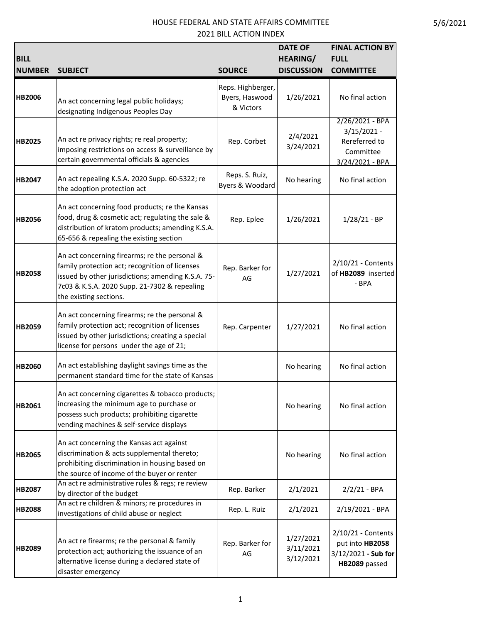| <b>BILL</b><br><b>NUMBER</b> | <b>SUBJECT</b>                                                                                                                                                                                                                  | <b>SOURCE</b>                                    | <b>DATE OF</b><br><b>HEARING/</b><br><b>DISCUSSION</b> | <b>FINAL ACTION BY</b><br><b>FULL</b><br><b>COMMITTEE</b>                         |
|------------------------------|---------------------------------------------------------------------------------------------------------------------------------------------------------------------------------------------------------------------------------|--------------------------------------------------|--------------------------------------------------------|-----------------------------------------------------------------------------------|
| <b>HB2006</b>                | An act concerning legal public holidays;<br>designating Indigenous Peoples Day                                                                                                                                                  | Reps. Highberger,<br>Byers, Haswood<br>& Victors | 1/26/2021                                              | No final action                                                                   |
| <b>HB2025</b>                | An act re privacy rights; re real property;<br>imposing restrictions on access & surveillance by<br>certain governmental officials & agencies                                                                                   | Rep. Corbet                                      | 2/4/2021<br>3/24/2021                                  | 2/26/2021 - BPA<br>$3/15/2021 -$<br>Rereferred to<br>Committee<br>3/24/2021 - BPA |
| <b>HB2047</b>                | An act repealing K.S.A. 2020 Supp. 60-5322; re<br>the adoption protection act                                                                                                                                                   | Reps. S. Ruiz,<br>Byers & Woodard                | No hearing                                             | No final action                                                                   |
| <b>HB2056</b>                | An act concerning food products; re the Kansas<br>food, drug & cosmetic act; regulating the sale &<br>distribution of kratom products; amending K.S.A.<br>65-656 & repealing the existing section                               | Rep. Eplee                                       | 1/26/2021                                              | $1/28/21 - BP$                                                                    |
| <b>HB2058</b>                | An act concerning firearms; re the personal &<br>family protection act; recognition of licenses<br>issued by other jurisdictions; amending K.S.A. 75-<br>7c03 & K.S.A. 2020 Supp. 21-7302 & repealing<br>the existing sections. | Rep. Barker for<br>AG                            | 1/27/2021                                              | 2/10/21 - Contents<br>of HB2089 inserted<br>- BPA                                 |
| <b>HB2059</b>                | An act concerning firearms; re the personal &<br>family protection act; recognition of licenses<br>issued by other jurisdictions; creating a special<br>license for persons under the age of 21;                                | Rep. Carpenter                                   | 1/27/2021                                              | No final action                                                                   |
| <b>HB2060</b>                | An act establishing daylight savings time as the<br>permanent standard time for the state of Kansas                                                                                                                             |                                                  | No hearing                                             | No final action                                                                   |
| <b>HB2061</b>                | An act concerning cigarettes & tobacco products;<br>increasing the minimum age to purchase or<br>possess such products; prohibiting cigarette<br>vending machines & self-service displays                                       |                                                  | No hearing                                             | No final action                                                                   |
| <b>HB2065</b>                | An act concerning the Kansas act against<br>discrimination & acts supplemental thereto;<br>prohibiting discrimination in housing based on<br>the source of income of the buyer or renter                                        |                                                  | No hearing                                             | No final action                                                                   |
| <b>HB2087</b>                | An act re administrative rules & regs; re review<br>by director of the budget                                                                                                                                                   | Rep. Barker                                      | 2/1/2021                                               | $2/2/21 - BPA$                                                                    |
| <b>HB2088</b>                | An act re children & minors; re procedures in<br>investigations of child abuse or neglect                                                                                                                                       | Rep. L. Ruiz                                     | 2/1/2021                                               | 2/19/2021 - BPA                                                                   |
| <b>HB2089</b>                | An act re firearms; re the personal & family<br>protection act; authorizing the issuance of an<br>alternative license during a declared state of<br>disaster emergency                                                          | Rep. Barker for<br>AG                            | 1/27/2021<br>3/11/2021<br>3/12/2021                    | 2/10/21 - Contents<br>put into HB2058<br>3/12/2021 - Sub for<br>HB2089 passed     |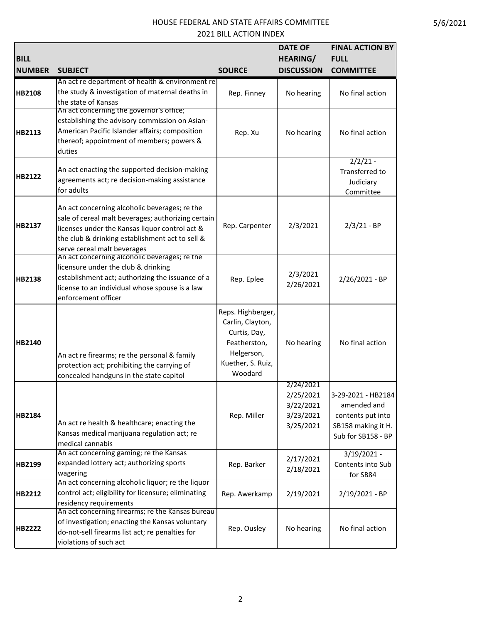| <b>BILL</b><br><b>NUMBER</b> | <b>SUBJECT</b>                                                                                                                                                                                                                          | <b>SOURCE</b>                                                                                                       | <b>DATE OF</b><br><b>HEARING/</b><br><b>DISCUSSION</b>        | <b>FINAL ACTION BY</b><br><b>FULL</b><br><b>COMMITTEE</b>                                          |
|------------------------------|-----------------------------------------------------------------------------------------------------------------------------------------------------------------------------------------------------------------------------------------|---------------------------------------------------------------------------------------------------------------------|---------------------------------------------------------------|----------------------------------------------------------------------------------------------------|
|                              | An act re department of health & environment re                                                                                                                                                                                         |                                                                                                                     |                                                               |                                                                                                    |
| <b>HB2108</b>                | the study & investigation of maternal deaths in<br>the state of Kansas                                                                                                                                                                  | Rep. Finney                                                                                                         | No hearing                                                    | No final action                                                                                    |
| HB2113                       | An act concerning the governor's office;<br>establishing the advisory commission on Asian-<br>American Pacific Islander affairs; composition<br>thereof; appointment of members; powers &<br>duties                                     | Rep. Xu                                                                                                             | No hearing                                                    | No final action                                                                                    |
| HB2122                       | An act enacting the supported decision-making<br>agreements act; re decision-making assistance<br>for adults                                                                                                                            |                                                                                                                     |                                                               | $2/2/21 -$<br>Transferred to<br>Judiciary<br>Committee                                             |
| <b>HB2137</b>                | An act concerning alcoholic beverages; re the<br>sale of cereal malt beverages; authorizing certain<br>licenses under the Kansas liquor control act &<br>the club & drinking establishment act to sell &<br>serve cereal malt beverages | Rep. Carpenter                                                                                                      | 2/3/2021                                                      | $2/3/21 - BP$                                                                                      |
| <b>HB2138</b>                | An act concerning alcoholic beverages; re the<br>licensure under the club & drinking<br>establishment act; authorizing the issuance of a<br>license to an individual whose spouse is a law<br>enforcement officer                       | Rep. Eplee                                                                                                          | 2/3/2021<br>2/26/2021                                         | 2/26/2021 - BP                                                                                     |
| HB2140                       | An act re firearms; re the personal & family<br>protection act; prohibiting the carrying of<br>concealed handguns in the state capitol                                                                                                  | Reps. Highberger,<br>Carlin, Clayton,<br>Curtis, Day,<br>Featherston,<br>Helgerson,<br>Kuether, S. Ruiz,<br>Woodard | No hearing                                                    | No final action                                                                                    |
| HB2184                       | An act re health & healthcare; enacting the<br>Kansas medical marijuana regulation act; re<br>medical cannabis                                                                                                                          | Rep. Miller                                                                                                         | 2/24/2021<br>2/25/2021<br>3/22/2021<br>3/23/2021<br>3/25/2021 | 3-29-2021 - HB2184<br>amended and<br>contents put into<br>SB158 making it H.<br>Sub for SB158 - BP |
| HB2199                       | An act concerning gaming; re the Kansas<br>expanded lottery act; authorizing sports<br>wagering                                                                                                                                         | Rep. Barker                                                                                                         | 2/17/2021<br>2/18/2021                                        | $3/19/2021 -$<br>Contents into Sub<br>for SB84                                                     |
| HB2212                       | An act concerning alcoholic liquor; re the liquor<br>control act; eligibility for licensure; eliminating<br>residency requirements                                                                                                      | Rep. Awerkamp                                                                                                       | 2/19/2021                                                     | 2/19/2021 - BP                                                                                     |
| HB2222                       | An act concerning firearms; re the Kansas bureau<br>of investigation; enacting the Kansas voluntary<br>do-not-sell firearms list act; re penalties for<br>violations of such act                                                        | Rep. Ousley                                                                                                         | No hearing                                                    | No final action                                                                                    |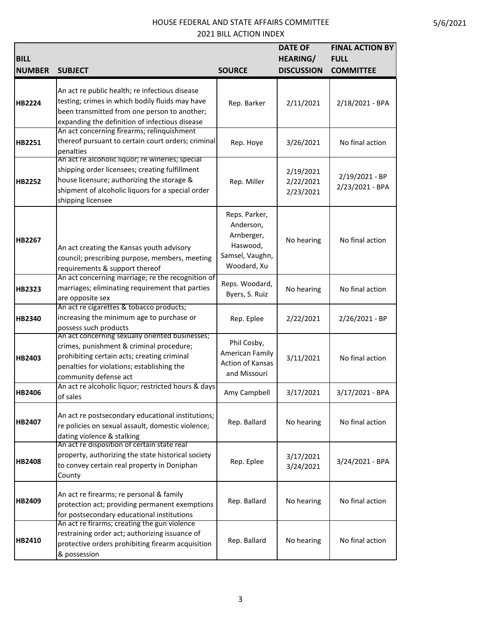| <b>BILL</b><br><b>NUMBER</b> | <b>SUBJECT</b>                                                                                                                                                                                                             | <b>SOURCE</b>                                                                          | <b>DATE OF</b><br><b>HEARING/</b><br><b>DISCUSSION</b> | <b>FINAL ACTION BY</b><br><b>FULL</b><br><b>COMMITTEE</b> |
|------------------------------|----------------------------------------------------------------------------------------------------------------------------------------------------------------------------------------------------------------------------|----------------------------------------------------------------------------------------|--------------------------------------------------------|-----------------------------------------------------------|
| HB2224                       | An act re public health; re infectious disease<br>testing; crimes in which bodily fluids may have<br>been transmitted from one person to another;<br>expanding the definition of infectious disease                        | Rep. Barker                                                                            | 2/11/2021                                              | 2/18/2021 - BPA                                           |
| HB2251                       | An act concerning firearms; relinquishment<br>thereof pursuant to certain court orders; criminal<br>penalties                                                                                                              | Rep. Hoye                                                                              | 3/26/2021                                              | No final action                                           |
| <b>HB2252</b>                | An act re alcoholic liquor; re wineries; special<br>shipping order licensees; creating fulfillment<br>house licensure; authorizing the storage &<br>shipment of alcoholic liquors for a special order<br>shipping licensee | Rep. Miller                                                                            | 2/19/2021<br>2/22/2021<br>2/23/2021                    | 2/19/2021 - BP<br>2/23/2021 - BPA                         |
| HB2267                       | An act creating the Kansas youth advisory<br>council; prescribing purpose, members, meeting<br>requirements & support thereof                                                                                              | Reps. Parker,<br>Anderson,<br>Arnberger,<br>Haswood,<br>Samsel, Vaughn,<br>Woodard, Xu | No hearing                                             | No final action                                           |
| HB2323                       | An act concerning marriage; re the recognition of<br>marriages; eliminating requirement that parties<br>are opposite sex                                                                                                   | Reps. Woodard,<br>Byers, S. Ruiz                                                       | No hearing                                             | No final action                                           |
| HB2340                       | An act re cigarettes & tobacco products;<br>increasing the minimum age to purchase or<br>possess such products                                                                                                             | Rep. Eplee                                                                             | 2/22/2021                                              | 2/26/2021 - BP                                            |
| HB2403                       | An act concerning sexually oriented businesses;<br>crimes, punishment & criminal procedure;<br>prohibiting certain acts; creating criminal<br>penalties for violations; establishing the<br>community defense act          | Phil Cosby,<br>American Family<br>Action of Kansas<br>and Missouri                     | 3/11/2021                                              | No final action                                           |
| HB2406                       | An act re alcoholic liquor; restricted hours & days<br>of sales                                                                                                                                                            | Amy Campbell                                                                           | 3/17/2021                                              | 3/17/2021 - BPA                                           |
| HB2407                       | An act re postsecondary educational institutions;<br>re policies on sexual assault, domestic violence;<br>dating violence & stalking                                                                                       | Rep. Ballard                                                                           | No hearing                                             | No final action                                           |
| <b>HB2408</b>                | An act re disposition of certain state real<br>property, authorizing the state historical society<br>to convey certain real property in Doniphan<br>County                                                                 | Rep. Eplee                                                                             | 3/17/2021<br>3/24/2021                                 | 3/24/2021 - BPA                                           |
| HB2409                       | An act re firearms; re personal & family<br>protection act; providing permanent exemptions<br>for postsecondary educational institutions                                                                                   | Rep. Ballard                                                                           | No hearing                                             | No final action                                           |
| HB2410                       | An act re firarms; creating the gun violence<br>restraining order act; authorizing issuance of<br>protective orders prohibiting firearm acquisition<br>& possession                                                        | Rep. Ballard                                                                           | No hearing                                             | No final action                                           |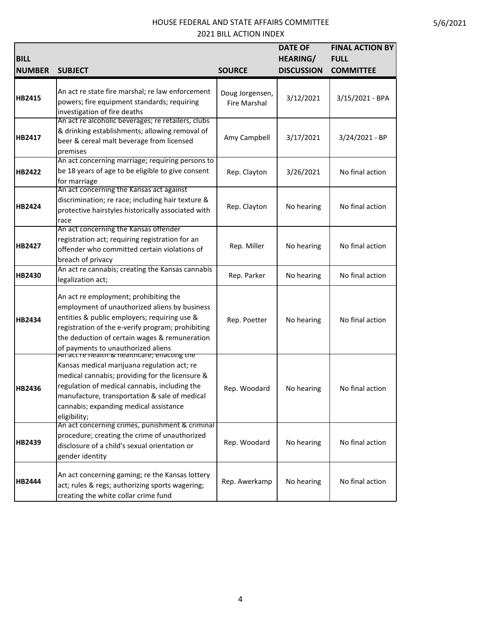| <b>BILL</b><br><b>NUMBER</b> | <b>SUBJECT</b>                                                                                                                                                                                                                                                                                            | <b>SOURCE</b>                          | <b>DATE OF</b><br><b>HEARING/</b><br><b>DISCUSSION</b> | <b>FINAL ACTION BY</b><br><b>FULL</b><br><b>COMMITTEE</b> |
|------------------------------|-----------------------------------------------------------------------------------------------------------------------------------------------------------------------------------------------------------------------------------------------------------------------------------------------------------|----------------------------------------|--------------------------------------------------------|-----------------------------------------------------------|
| HB2415                       | An act re state fire marshal; re law enforcement<br>powers; fire equipment standards; requiring<br>investigation of fire deaths                                                                                                                                                                           | Doug Jorgensen,<br><b>Fire Marshal</b> | 3/12/2021                                              | 3/15/2021 - BPA                                           |
| HB2417                       | An act re alcoholic beverages; re retailers, clubs<br>& drinking establishments; allowing removal of<br>beer & cereal malt beverage from licensed<br>premises                                                                                                                                             | Amy Campbell                           | 3/17/2021                                              | 3/24/2021 - BP                                            |
| HB2422                       | An act concerning marriage; requiring persons to<br>be 18 years of age to be eligible to give consent<br>for marriage                                                                                                                                                                                     | Rep. Clayton                           | 3/26/2021                                              | No final action                                           |
| HB2424                       | An act concerning the Kansas act against<br>discrimination; re race; including hair texture &<br>protective hairstyles historically associated with<br>race                                                                                                                                               | Rep. Clayton                           | No hearing                                             | No final action                                           |
| HB2427                       | An act concerning the Kansas offender<br>registration act; requiring registration for an<br>offender who committed certain violations of<br>breach of privacy                                                                                                                                             | Rep. Miller                            | No hearing                                             | No final action                                           |
| HB2430                       | An act re cannabis; creating the Kansas cannabis<br>legalization act;                                                                                                                                                                                                                                     | Rep. Parker                            | No hearing                                             | No final action                                           |
| HB2434                       | An act re employment; prohibiting the<br>employment of unauthorized aliens by business<br>entities & public employers; requiring use &<br>registration of the e-verify program; prohibiting<br>the deduction of certain wages & remuneration<br>of payments to unauthorized aliens                        | Rep. Poetter                           | No hearing                                             | No final action                                           |
| HB2436                       | An act re nealth & healthcare; enacting the<br>Kansas medical marijuana regulation act; re<br>medical cannabis; providing for the licensure &<br>regulation of medical cannabis, including the<br>manufacture, transportation & sale of medical<br>cannabis; expanding medical assistance<br>eligibility; | Rep. Woodard                           | No hearing                                             | No final action                                           |
| HB2439                       | An act concerning crimes, punishment & criminal<br>procedure; creating the crime of unauthorized<br>disclosure of a child's sexual orientation or<br>gender identity                                                                                                                                      | Rep. Woodard                           | No hearing                                             | No final action                                           |
| HB2444                       | An act concerning gaming; re the Kansas lottery<br>act; rules & regs; authorizing sports wagering;<br>creating the white collar crime fund                                                                                                                                                                | Rep. Awerkamp                          | No hearing                                             | No final action                                           |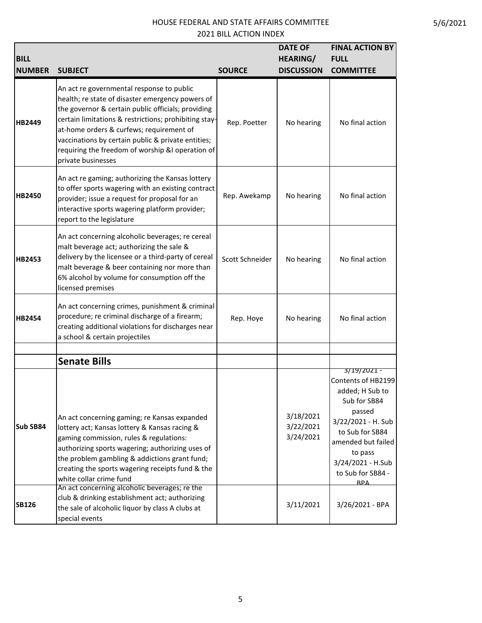| <b>BILL</b><br><b>NUMBER</b> | <b>SUBJECT</b>                                                                                                                                                                                                                                                                                                                                                                           | <b>SOURCE</b>   | <b>DATE OF</b><br><b>HEARING/</b><br><b>DISCUSSION</b> | <b>FINAL ACTION BY</b><br><b>FULL</b><br><b>COMMITTEE</b>                                                                                                                                                        |
|------------------------------|------------------------------------------------------------------------------------------------------------------------------------------------------------------------------------------------------------------------------------------------------------------------------------------------------------------------------------------------------------------------------------------|-----------------|--------------------------------------------------------|------------------------------------------------------------------------------------------------------------------------------------------------------------------------------------------------------------------|
| HB2449                       | An act re governmental response to public<br>health; re state of disaster emergency powers of<br>the governor & certain public officials; providing<br>certain limitations & restrictions; prohibiting stay-<br>at-home orders & curfews; requirement of<br>vaccinations by certain public & private entities;<br>requiring the freedom of worship &I operation of<br>private businesses | Rep. Poetter    | No hearing                                             | No final action                                                                                                                                                                                                  |
| <b>HB2450</b>                | An act re gaming; authorizing the Kansas lottery<br>to offer sports wagering with an existing contract<br>provider; issue a request for proposal for an<br>interactive sports wagering platform provider;<br>report to the legislature                                                                                                                                                   | Rep. Awekamp    | No hearing                                             | No final action                                                                                                                                                                                                  |
| HB2453                       | An act concerning alcoholic beverages; re cereal<br>malt beverage act; authorizing the sale &<br>delivery by the licensee or a third-party of cereal<br>malt beverage & beer containing nor more than<br>6% alcohol by volume for consumption off the<br>licensed premises                                                                                                               | Scott Schneider | No hearing                                             | No final action                                                                                                                                                                                                  |
| HB2454                       | An act concerning crimes, punishment & criminal<br>procedure; re criminal discharge of a firearm;<br>creating additional violations for discharges near<br>a school & certain projectiles                                                                                                                                                                                                | Rep. Hoye       | No hearing                                             | No final action                                                                                                                                                                                                  |
|                              | <b>Senate Bills</b>                                                                                                                                                                                                                                                                                                                                                                      |                 |                                                        |                                                                                                                                                                                                                  |
| Sub SB84                     | An act concerning gaming; re Kansas expanded<br>lottery act; Kansas lottery & Kansas racing &<br>gaming commission, rules & regulations:<br>authorizing sports wagering; authorizing uses of<br>the problem gambling & addictions grant fund;<br>creating the sports wagering receipts fund & the<br>white collar crime fund                                                             |                 | 3/18/2021<br>3/22/2021<br>3/24/2021                    | 3/19/2021 -<br>Contents of HB2199<br>added; H Sub to<br>Sub for SB84<br>passed<br>3/22/2021 - H. Sub<br>to Sub for SB84<br>amended but failed<br>to pass<br>3/24/2021 - H.Sub<br>to Sub for SB84 -<br><b>RPA</b> |
| <b>SB126</b>                 | An act concerning alcoholic beverages; re the<br>club & drinking establishment act; authorizing<br>the sale of alcoholic liquor by class A clubs at<br>special events                                                                                                                                                                                                                    |                 | 3/11/2021                                              | 3/26/2021 - BPA                                                                                                                                                                                                  |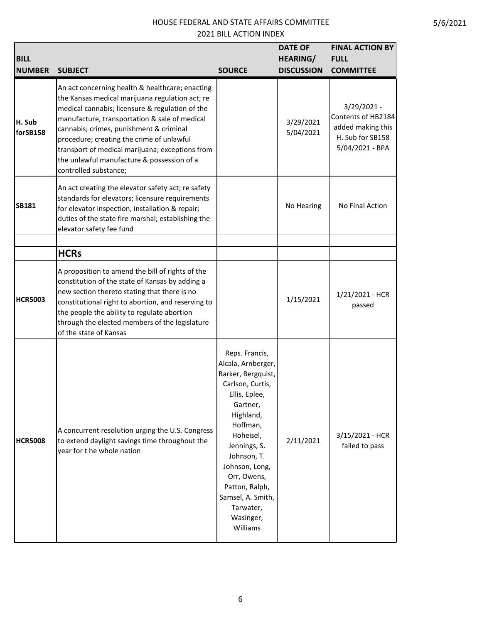| <b>BILL</b><br><b>NUMBER</b> | <b>SUBJECT</b>                                                                                                                                                                                                                                                                                                                                                                                                           | <b>SOURCE</b>                                                                                                                                                                                                                                                                                  | <b>DATE OF</b><br><b>HEARING/</b><br><b>DISCUSSION</b> | <b>FINAL ACTION BY</b><br><b>FULL</b><br><b>COMMITTEE</b>                                     |
|------------------------------|--------------------------------------------------------------------------------------------------------------------------------------------------------------------------------------------------------------------------------------------------------------------------------------------------------------------------------------------------------------------------------------------------------------------------|------------------------------------------------------------------------------------------------------------------------------------------------------------------------------------------------------------------------------------------------------------------------------------------------|--------------------------------------------------------|-----------------------------------------------------------------------------------------------|
| H. Sub<br>forSB158           | An act concerning health & healthcare; enacting<br>the Kansas medical marijuana regulation act; re<br>medical cannabis; licensure & regulation of the<br>manufacture, transportation & sale of medical<br>cannabis; crimes, punishment & criminal<br>procedure; creating the crime of unlawful<br>transport of medical marijuana; exceptions from<br>the unlawful manufacture & possession of a<br>controlled substance; |                                                                                                                                                                                                                                                                                                | 3/29/2021<br>5/04/2021                                 | 3/29/2021 -<br>Contents of HB2184<br>added making this<br>H. Sub for SB158<br>5/04/2021 - BPA |
| <b>SB181</b>                 | An act creating the elevator safety act; re safety<br>standards for elevators; licensure requirements<br>for elevator inspection, installation & repair;<br>duties of the state fire marshal; establishing the<br>elevator safety fee fund                                                                                                                                                                               |                                                                                                                                                                                                                                                                                                | No Hearing                                             | No Final Action                                                                               |
|                              | <b>HCRs</b>                                                                                                                                                                                                                                                                                                                                                                                                              |                                                                                                                                                                                                                                                                                                |                                                        |                                                                                               |
| <b>HCR5003</b>               | A proposition to amend the bill of rights of the<br>constitution of the state of Kansas by adding a<br>new section thereto stating that there is no<br>constitutional right to abortion, and reserving to<br>the people the ability to regulate abortion<br>through the elected members of the legislature<br>of the state of Kansas                                                                                     |                                                                                                                                                                                                                                                                                                | 1/15/2021                                              | 1/21/2021 - HCR<br>passed                                                                     |
| <b>HCR5008</b>               | A concurrent resolution urging the U.S. Congress<br>to extend daylight savings time throughout the<br>year for t he whole nation                                                                                                                                                                                                                                                                                         | Reps. Francis,<br>Alcala, Arnberger,<br>Barker, Bergquist,<br>Carlson, Curtis,<br>Ellis, Eplee,<br>Gartner,<br>Highland,<br>Hoffman,<br>Hoheisel,<br>Jennings, S.<br>Johnson, T.<br>Johnson, Long,<br>Orr, Owens,<br>Patton, Ralph,<br>Samsel, A. Smith,<br>Tarwater,<br>Wasinger,<br>Williams | 2/11/2021                                              | 3/15/2021 - HCR<br>failed to pass                                                             |